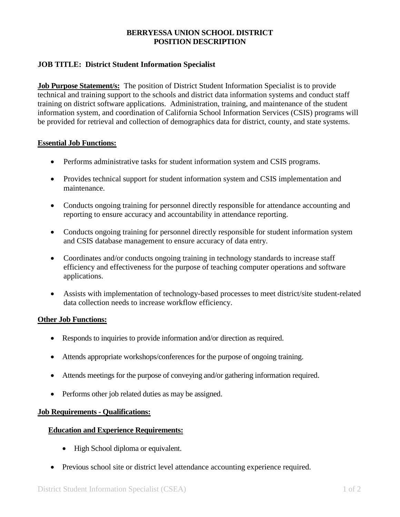## **BERRYESSA UNION SCHOOL DISTRICT POSITION DESCRIPTION**

# **JOB TITLE: District Student Information Specialist**

**Job Purpose Statement/s:** The position of District Student Information Specialist is to provide technical and training support to the schools and district data information systems and conduct staff training on district software applications. Administration, training, and maintenance of the student information system, and coordination of California School Information Services (CSIS) programs will be provided for retrieval and collection of demographics data for district, county, and state systems.

### **Essential Job Functions:**

- Performs administrative tasks for student information system and CSIS programs.
- Provides technical support for student information system and CSIS implementation and maintenance.
- Conducts ongoing training for personnel directly responsible for attendance accounting and reporting to ensure accuracy and accountability in attendance reporting.
- Conducts ongoing training for personnel directly responsible for student information system and CSIS database management to ensure accuracy of data entry.
- Coordinates and/or conducts ongoing training in technology standards to increase staff efficiency and effectiveness for the purpose of teaching computer operations and software applications.
- Assists with implementation of technology-based processes to meet district/site student-related data collection needs to increase workflow efficiency.

## **Other Job Functions:**

- Responds to inquiries to provide information and/or direction as required.
- Attends appropriate workshops/conferences for the purpose of ongoing training.
- Attends meetings for the purpose of conveying and/or gathering information required.
- Performs other job related duties as may be assigned.

#### **Job Requirements - Qualifications:**

#### **Education and Experience Requirements:**

- High School diploma or equivalent.
- Previous school site or district level attendance accounting experience required.